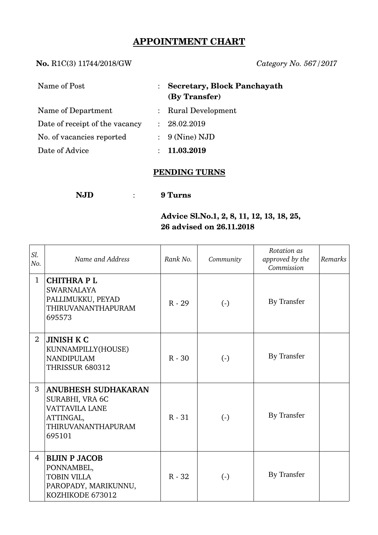# **APPOINTMENT CHART**

### **No.** R1C(3) 11744/2018/GW *Category No. 567/2017*

| Name of Post                   |               | <b>Secretary, Block Panchayath</b><br>(By Transfer) |
|--------------------------------|---------------|-----------------------------------------------------|
| Name of Department             |               | : Rural Development                                 |
| Date of receipt of the vacancy |               | : 28.02.2019                                        |
| No. of vacancies reported      |               | $\therefore$ 9 (Nine) NJD                           |
| Date of Advice                 | $\mathcal{L}$ | 11.03.2019                                          |

## **PENDING TURNS**

**NJD** : **9 Turns**

### **Advice Sl.No.1, 2, 8, 11, 12, 13, 18, 25, 26 advised on 26.11.2018**

| Sl.<br>No.     | Name and Address                                                                                                    | Rank No. | Community              | Rotation as<br>approved by the<br>Commission | Remarks |
|----------------|---------------------------------------------------------------------------------------------------------------------|----------|------------------------|----------------------------------------------|---------|
| $\mathbf{1}$   | <b>CHITHRAPL</b><br><b>SWARNALAYA</b><br>PALLIMUKKU, PEYAD<br>THIRUVANANTHAPURAM<br>695573                          | $R - 29$ | $\left( \cdot \right)$ | By Transfer                                  |         |
| $\overline{2}$ | <b>JINISH K C</b><br>KUNNAMPILLY(HOUSE)<br><b>NANDIPULAM</b><br><b>THRISSUR 680312</b>                              | $R - 30$ | $(-)$                  | By Transfer                                  |         |
| 3              | <b>ANUBHESH SUDHAKARAN</b><br>SURABHI, VRA 6C<br><b>VATTAVILA LANE</b><br>ATTINGAL,<br>THIRUVANANTHAPURAM<br>695101 | $R - 31$ | $(-)$                  | By Transfer                                  |         |
| $\overline{4}$ | <b>BIJIN P JACOB</b><br>PONNAMBEL,<br><b>TOBIN VILLA</b><br>PAROPADY, MARIKUNNU,<br>KOZHIKODE 673012                | $R - 32$ | $(-)$                  | By Transfer                                  |         |